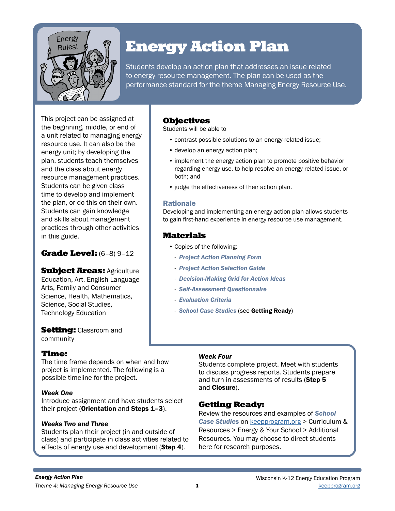

# Energy Action Plan

Students develop an action plan that addresses an issue related to energy resource management. The plan can be used as the performance standard for the theme Managing Energy Resource Use.

This project can be assigned at the beginning, middle, or end of a unit related to managing energy resource use. It can also be the energy unit; by developing the plan, students teach themselves and the class about energy resource management practices. Students can be given class time to develop and implement the plan, or do this on their own. Students can gain knowledge and skills about management practices through other activities in this guide.

### Grade Level: (6–8) 9–12

**Subject Areas: Agriculture** Education, Art, English Language Arts, Family and Consumer Science, Health, Mathematics, Science, Social Studies, Technology Education

**Setting: Classroom and** community

### Time:

The time frame depends on when and how project is implemented. The following is a possible timeline for the project.

### *Week One*

Introduce assignment and have students select their project (Orientation and Steps 1-3).

### *Weeks Two and Three*

Students plan their project (in and outside of class) and participate in class activities related to effects of energy use and development (Step 4).

### Objectives

Students will be able to

- contrast possible solutions to an energy-related issue;
- develop an energy action plan;
- implement the energy action plan to promote positive behavior regarding energy use, to help resolve an energy-related issue, or both; and
- judge the effectiveness of their action plan.

### Rationale

Developing and implementing an energy action plan allows students to gain first-hand experience in energy resource use management.

### **Materials**

- Copies of the following:
	- *Project Action Planning Form*
	- *Project Action Selection Guide*
	- *Decision-Making Grid for Action Ideas*
	- *Self-Assessment Questionnaire*
	- *Evaluation Criteria*
	- *School Case Studies* (see Getting Ready)

### *Week Four*

Students complete project. Meet with students to discuss progress reports. Students prepare and turn in assessments of results (Step 5 and Closure).

### Getting Ready:

Review the resources and examples of *School Case Studies* on [keepprogram.org](http://keepprogram.org) > Curriculum & Resources > Energy & Your School > Additional Resources. You may choose to direct students here for research purposes.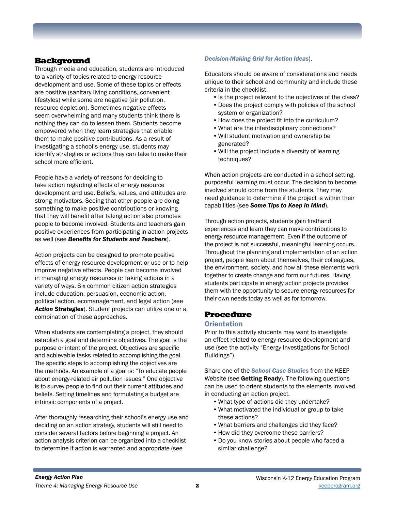### Background

Through media and education, students are introduced to a variety of topics related to energy resource development and use. Some of these topics or effects are positive (sanitary living conditions, convenient lifestyles) while some are negative (air pollution, resource depletion). Sometimes negative effects seem overwhelming and many students think there is nothing they can do to lessen them. Students become empowered when they learn strategies that enable them to make positive contributions. As a result of investigating a school's energy use, students may identify strategies or actions they can take to make their school more efficient.

People have a variety of reasons for deciding to take action regarding effects of energy resource development and use. Beliefs, values, and attitudes are strong motivators. Seeing that other people are doing something to make positive contributions or knowing that they will benefit after taking action also promotes people to become involved. Students and teachers gain positive experiences from participating in action projects as well (see *Benefits for Students and Teachers*).

Action projects can be designed to promote positive effects of energy resource development or use or to help improve negative effects. People can become involved in managing energy resources or taking actions in a variety of ways. Six common citizen action strategies include education, persuasion, economic action, political action, ecomanagement, and legal action (see *Action Strategies*). Student projects can utilize one or a combination of these approaches.

When students are contemplating a project, they should establish a goal and determine objectives. The goal is the purpose or intent of the project. Objectives are specific and achievable tasks related to accomplishing the goal. The specific steps to accomplishing the objectives are the methods. An example of a goal is: "To educate people about energy-related air pollution issues." One objective is to survey people to find out their current attitudes and beliefs. Setting timelines and formulating a budget are intrinsic components of a project.

After thoroughly researching their school's energy use and deciding on an action strategy, students will still need to consider several factors before beginning a project. An action analysis criterion can be organized into a checklist to determine if action is warranted and appropriate (see

### *Decision-Making Grid for Action Ideas*).

Educators should be aware of considerations and needs unique to their school and community and include these criteria in the checklist.

- Is the project relevant to the objectives of the class?
- •Does the project comply with policies of the school system or organization?
- •How does the project fit into the curriculum?
- •What are the interdisciplinary connections?
- •Will student motivation and ownership be generated?
- Will the project include a diversity of learning techniques?

When action projects are conducted in a school setting, purposeful learning must occur. The decision to become involved should come from the students. They may need guidance to determine if the project is within their capabilities (see *Some Tips to Keep in Mind*).

Through action projects, students gain firsthand experiences and learn they can make contributions to energy resource management. Even if the outcome of the project is not successful, meaningful learning occurs. Throughout the planning and implementation of an action project, people learn about themselves, their colleagues, the environment, society, and how all these elements work together to create change and form our futures. Having students participate in energy action projects provides them with the opportunity to secure energy resources for their own needs today as well as for tomorrow.

### Procedure

#### **Orientation**

Prior to this activity students may want to investigate an effect related to energy resource development and use (see the activity "Energy Investigations for School Buildings").

Share one of the *School Case Studies* from the KEEP Website (see Getting Ready). The following questions can be used to orient students to the elements involved in conducting an action project.

- •What type of actions did they undertake?
- •What motivated the individual or group to take these actions?
- •What barriers and challenges did they face?
- •How did they overcome these barriers?
- •Do you know stories about people who faced a similar challenge?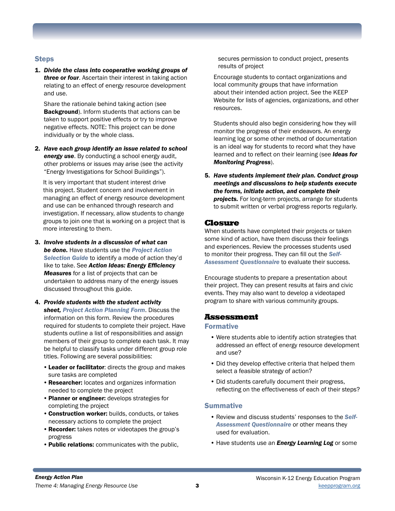### **Steps**

1. *Divide the class into cooperative working groups of three or four*. Ascertain their interest in taking action relating to an effect of energy resource development and use.

Share the rationale behind taking action (see Background). Inform students that actions can be taken to support positive effects or try to improve negative effects. NOTE: This project can be done individually or by the whole class.

2. *Have each group identify an issue related to school energy use*. By conducting a school energy audit, other problems or issues may arise (see the activity "Energy Investigations for School Buildings").

It is very important that student interest drive this project. Student concern and involvement in managing an effect of energy resource development and use can be enhanced through research and investigation. If necessary, allow students to change groups to join one that is working on a project that is more interesting to them.

- 3. *Involve students in a discussion of what can be done.* Have students use the *Project Action Selection Guide* to identify a mode of action they'd like to take. See *Action Ideas: Energy Efficiency Measures* for a list of projects that can be undertaken to address many of the energy issues discussed throughout this guide.
- 4. *Provide students with the student activity sheet, Project Action Planning Form*. Discuss the information on this form. Review the procedures required for students to complete their project. Have students outline a list of responsibilities and assign members of their group to complete each task. It may be helpful to classify tasks under different group role titles. Following are several possibilities:
	- Leader or facilitator: directs the group and makes sure tasks are completed
	- Researcher: locates and organizes information needed to complete the project
	- •Planner or engineer: develops strategies for completing the project
	- •Construction worker: builds, conducts, or takes necessary actions to complete the project
	- •Recorder: takes notes or videotapes the group's progress
	- Public relations: communicates with the public,

secures permission to conduct project, presents results of project

Encourage students to contact organizations and local community groups that have information about their intended action project. See the KEEP Website for lists of agencies, organizations, and other resources.

Students should also begin considering how they will monitor the progress of their endeavors. An energy learning log or some other method of documentation is an ideal way for students to record what they have learned and to reflect on their learning (see *Ideas for Monitoring Progress*).

5. *Have students implement their plan. Conduct group meetings and discussions to help students execute the forms, initiate action, and complete their projects.* For long-term projects, arrange for students to submit written or verbal progress reports regularly.

### Closure

When students have completed their projects or taken some kind of action, have them discuss their feelings and experiences. Review the processes students used to monitor their progress. They can fill out the *Self-Assessment Questionnaire* to evaluate their success.

Encourage students to prepare a presentation about their project. They can present results at fairs and civic events. They may also want to develop a videotaped program to share with various community groups.

#### Assessment

#### **Formative**

- Were students able to identify action strategies that addressed an effect of energy resource development and use?
- Did they develop effective criteria that helped them select a feasible strategy of action?
- Did students carefully document their progress, reflecting on the effectiveness of each of their steps?

### **Summative**

- Review and discuss students' responses to the *Self-Assessment Questionnaire* or other means they used for evaluation.
- Have students use an *Energy Learning Log* or some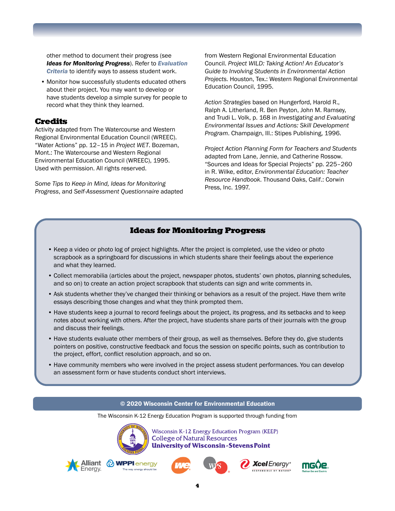other method to document their progress (see *Ideas for Monitoring Progress*). Refer to *Evaluation Criteria* to identify ways to assess student work.

• Monitor how successfully students educated others about their project. You may want to develop or have students develop a simple survey for people to record what they think they learned.

### Credits

Activity adapted from The Watercourse and Western Regional Environmental Education Council (WREEC). "Water Actions" pp. 12–15 in *Project WET*. Bozeman, Mont.: The Watercourse and Western Regional Environmental Education Council (WREEC), 1995. Used with permission. All rights reserved.

*Some Tips to Keep in Mind, Ideas for Monitoring Progress*, and *Self-Assessment Questionnaire* adapted from Western Regional Environmental Education Council. *Project WILD: Taking Action! An Educator's Guide to Involving Students in Environmental Action Projects.* Houston, Tex.: Western Regional Environmental Education Council, 1995.

*Action Strategies* based on Hungerford, Harold R., Ralph A. Litherland, R. Ben Peyton, John M. Ramsey, and Trudi L. Volk, p. 168 in *Investigating and Evaluating Environmental Issues and Actions: Skill Development Program*. Champaign, Ill.: Stipes Publishing, 1996.

*Project Action Planning Form for Teachers and Students*  adapted from Lane, Jennie, and Catherine Rossow. "Sources and Ideas for Special Projects" pp. 225–260 in R. Wilke, editor, *Environmental Education: Teacher Resource Handbook*. Thousand Oaks, Calif.: Corwin Press, Inc. 1997.

### Ideas for Monitoring Progress

- Keep a video or photo log of project highlights. After the project is completed, use the video or photo scrapbook as a springboard for discussions in which students share their feelings about the experience and what they learned.
- Collect memorabilia (articles about the project, newspaper photos, students' own photos, planning schedules, and so on) to create an action project scrapbook that students can sign and write comments in.
- Ask students whether they've changed their thinking or behaviors as a result of the project. Have them write essays describing those changes and what they think prompted them.
- Have students keep a journal to record feelings about the project, its progress, and its setbacks and to keep notes about working with others. After the project, have students share parts of their journals with the group and discuss their feelings.
- Have students evaluate other members of their group, as well as themselves. Before they do, give students pointers on positive, constructive feedback and focus the session on specific points, such as contribution to the project, effort, conflict resolution approach, and so on.
- Have community members who were involved in the project assess student performances. You can develop an assessment form or have students conduct short interviews.

### © 2020 Wisconsin Center for Environmental Education

The Wisconsin K-12 Energy Education Program is supported through funding from



Wisconsin K-12 Energy Education Program (KEEP) **College of Natural Resources University of Wisconsin-Stevens Point** 









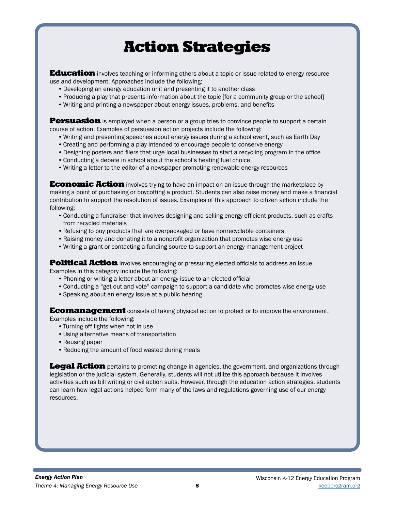# Action Strategies

Education involves teaching or informing others about a topic or issue related to energy resource use and development. Approaches include the following:

- •Developing an energy education unit and presenting it to another class
- •Producing a play that presents information about the topic [for a community group or the school]
- •Writing and printing a newspaper about energy issues, problems, and benefits

**Persuasion** is employed when a person or a group tries to convince people to support a certain course of action. Examples of persuasion action projects include the following:

- •Writing and presenting speeches about energy issues during a school event, such as Earth Day
- •Creating and performing a play intended to encourage people to conserve energy
- •Designing posters and fliers that urge local businesses to start a recycling program in the office
- •Conducting a debate in school about the school's heating fuel choice
- •Writing a letter to the editor of a newspaper promoting renewable energy resources

**Economic Action** involves trying to have an impact on an issue through the marketplace by making a point of purchasing or boycotting a product. Students can also raise money and make a financial contribution to support the resolution of issues. Examples of this approach to citizen action include the following:

- •Conducting a fundraiser that involves designing and selling energy efficient products, such as crafts from recycled materials
- •Refusing to buy products that are overpackaged or have nonrecyclable containers
- •Raising money and donating it to a nonprofit organization that promotes wise energy use
- •Writing a grant or contacting a funding source to support an energy management project

**Political Action** involves encouraging or pressuring elected officials to address an issue.

Examples in this category include the following:

- •Phoning or writing a letter about an energy issue to an elected official
- •Conducting a "get out and vote" campaign to support a candidate who promotes wise energy use
- •Speaking about an energy issue at a public hearing

**Ecomanagement** consists of taking physical action to protect or to improve the environment. Examples include the following:

- Turning off lights when not in use
- •Using alternative means of transportation
- •Reusing paper
- •Reducing the amount of food wasted during meals

Legal Action pertains to promoting change in agencies, the government, and organizations through legislation or the judicial system. Generally, students will not utilize this approach because it involves activities such as bill writing or civil action suits. However, through the education action strategies, students can learn how legal actions helped form many of the laws and regulations governing use of our energy resources.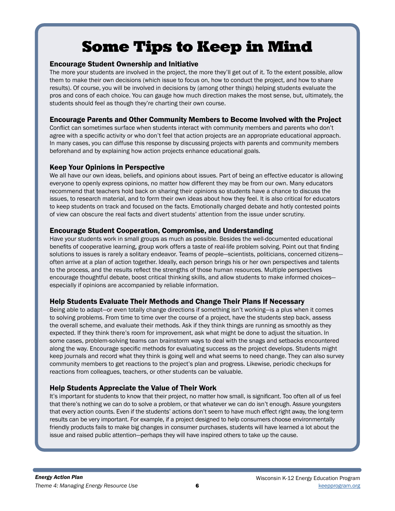# Some Tips to Keep in Mind

### Encourage Student Ownership and Initiative

The more your students are involved in the project, the more they'll get out of it. To the extent possible, allow them to make their own decisions (which issue to focus on, how to conduct the project, and how to share results). Of course, you will be involved in decisions by (among other things) helping students evaluate the pros and cons of each choice. You can gauge how much direction makes the most sense, but, ultimately, the students should feel as though they're charting their own course.

### Encourage Parents and Other Community Members to Become Involved with the Project

Conflict can sometimes surface when students interact with community members and parents who don't agree with a specific activity or who don't feel that action projects are an appropriate educational approach. In many cases, you can diffuse this response by discussing projects with parents and community members beforehand and by explaining how action projects enhance educational goals.

### Keep Your Opinions in Perspective

We all have our own ideas, beliefs, and opinions about issues. Part of being an effective educator is allowing everyone to openly express opinions, no matter how different they may be from our own. Many educators recommend that teachers hold back on sharing their opinions so students have a chance to discuss the issues, to research material, and to form their own ideas about how they feel. It is also critical for educators to keep students on track and focused on the facts. Emotionally charged debate and hotly contested points of view can obscure the real facts and divert students' attention from the issue under scrutiny.

### Encourage Student Cooperation, Compromise, and Understanding

Have your students work in small groups as much as possible. Besides the well-documented educational benefits of cooperative learning, group work offers a taste of real-life problem solving. Point out that finding solutions to issues is rarely a solitary endeavor. Teams of people—scientists, politicians, concerned citizens often arrive at a plan of action together. Ideally, each person brings his or her own perspectives and talents to the process, and the results reflect the strengths of those human resources. Multiple perspectives encourage thoughtful debate, boost critical thinking skills, and allow students to make informed choices especially if opinions are accompanied by reliable information.

### Help Students Evaluate Their Methods and Change Their Plans If Necessary

Being able to adapt—or even totally change directions if something isn't working—is a plus when it comes to solving problems. From time to time over the course of a project, have the students step back, assess the overall scheme, and evaluate their methods. Ask if they think things are running as smoothly as they expected. If they think there's room for improvement, ask what might be done to adjust the situation. In some cases, problem-solving teams can brainstorm ways to deal with the snags and setbacks encountered along the way. Encourage specific methods for evaluating success as the project develops. Students might keep journals and record what they think is going well and what seems to need change. They can also survey community members to get reactions to the project's plan and progress. Likewise, periodic checkups for reactions from colleagues, teachers, or other students can be valuable.

### Help Students Appreciate the Value of Their Work

It's important for students to know that their project, no matter how small, is significant. Too often all of us feel that there's nothing we can do to solve a problem, or that whatever we can do isn't enough. Assure youngsters that every action counts. Even if the students' actions don't seem to have much effect right away, the long-term results can be very important. For example, if a project designed to help consumers choose environmentally friendly products fails to make big changes in consumer purchases, students will have learned a lot about the issue and raised public attention—perhaps they will have inspired others to take up the cause.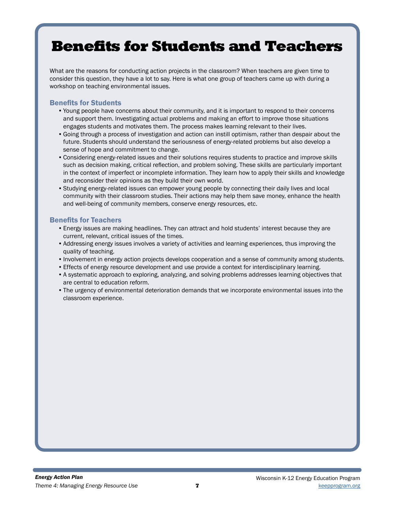## Benefits for Students and Teachers

What are the reasons for conducting action projects in the classroom? When teachers are given time to consider this question, they have a lot to say. Here is what one group of teachers came up with during a workshop on teaching environmental issues.

### Benefits for Students

- •Young people have concerns about their community, and it is important to respond to their concerns and support them. Investigating actual problems and making an effort to improve those situations engages students and motivates them. The process makes learning relevant to their lives.
- •Going through a process of investigation and action can instill optimism, rather than despair about the future. Students should understand the seriousness of energy-related problems but also develop a sense of hope and commitment to change.
- •Considering energy-related issues and their solutions requires students to practice and improve skills such as decision making, critical reflection, and problem solving. These skills are particularly important in the context of imperfect or incomplete information. They learn how to apply their skills and knowledge and reconsider their opinions as they build their own world.
- •Studying energy-related issues can empower young people by connecting their daily lives and local community with their classroom studies. Their actions may help them save money, enhance the health and well-being of community members, conserve energy resources, etc.

### Benefits for Teachers

- •Energy issues are making headlines. They can attract and hold students' interest because they are current, relevant, critical issues of the times.
- •Addressing energy issues involves a variety of activities and learning experiences, thus improving the quality of teaching.
- •Involvement in energy action projects develops cooperation and a sense of community among students.
- •Effects of energy resource development and use provide a context for interdisciplinary learning.
- •A systematic approach to exploring, analyzing, and solving problems addresses learning objectives that are central to education reform.
- •The urgency of environmental deterioration demands that we incorporate environmental issues into the classroom experience.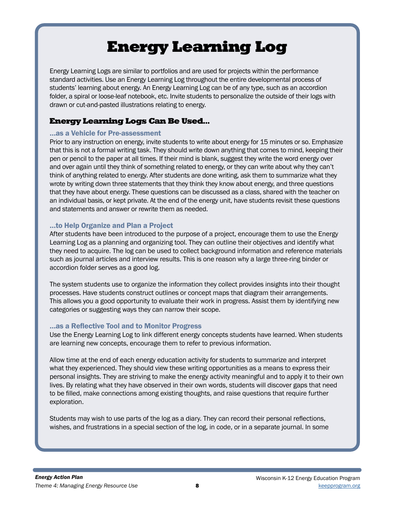## Energy Learning Log

Energy Learning Logs are similar to portfolios and are used for projects within the performance standard activities. Use an Energy Learning Log throughout the entire developmental process of students' learning about energy. An Energy Learning Log can be of any type, such as an accordion folder, a spiral or loose-leaf notebook, etc. Invite students to personalize the outside of their logs with drawn or cut-and-pasted illustrations relating to energy.

### Energy Learning Logs Can Be Used…

### …as a Vehicle for Pre-assessment

Prior to any instruction on energy, invite students to write about energy for 15 minutes or so. Emphasize that this is not a formal writing task. They should write down anything that comes to mind, keeping their pen or pencil to the paper at all times. If their mind is blank, suggest they write the word energy over and over again until they think of something related to energy, or they can write about why they can't think of anything related to energy. After students are done writing, ask them to summarize what they wrote by writing down three statements that they think they know about energy, and three questions that they have about energy. These questions can be discussed as a class, shared with the teacher on an individual basis, or kept private. At the end of the energy unit, have students revisit these questions and statements and answer or rewrite them as needed.

### …to Help Organize and Plan a Project

After students have been introduced to the purpose of a project, encourage them to use the Energy Learning Log as a planning and organizing tool. They can outline their objectives and identify what they need to acquire. The log can be used to collect background information and reference materials such as journal articles and interview results. This is one reason why a large three-ring binder or accordion folder serves as a good log.

The system students use to organize the information they collect provides insights into their thought processes. Have students construct outlines or concept maps that diagram their arrangements. This allows you a good opportunity to evaluate their work in progress. Assist them by identifying new categories or suggesting ways they can narrow their scope.

### …as a Reflective Tool and to Monitor Progress

Use the Energy Learning Log to link different energy concepts students have learned. When students are learning new concepts, encourage them to refer to previous information.

Allow time at the end of each energy education activity for students to summarize and interpret what they experienced. They should view these writing opportunities as a means to express their personal insights. They are striving to make the energy activity meaningful and to apply it to their own lives. By relating what they have observed in their own words, students will discover gaps that need to be filled, make connections among existing thoughts, and raise questions that require further exploration.

Students may wish to use parts of the log as a diary. They can record their personal reflections, wishes, and frustrations in a special section of the log, in code, or in a separate journal. In some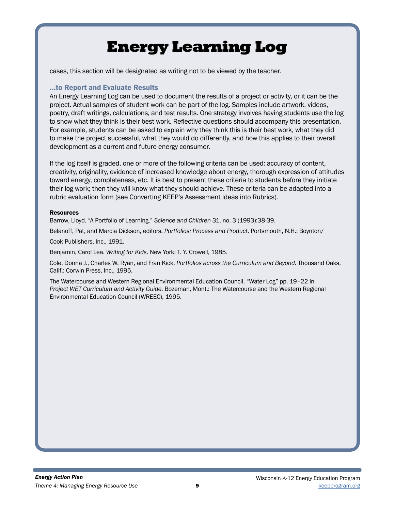## Energy Learning Log

cases, this section will be designated as writing not to be viewed by the teacher.

### …to Report and Evaluate Results

An Energy Learning Log can be used to document the results of a project or activity, or it can be the project. Actual samples of student work can be part of the log. Samples include artwork, videos, poetry, draft writings, calculations, and test results. One strategy involves having students use the log to show what they think is their best work. Reflective questions should accompany this presentation. For example, students can be asked to explain why they think this is their best work, what they did to make the project successful, what they would do differently, and how this applies to their overall development as a current and future energy consumer.

If the log itself is graded, one or more of the following criteria can be used: accuracy of content, creativity, originality, evidence of increased knowledge about energy, thorough expression of attitudes toward energy, completeness, etc. It is best to present these criteria to students before they initiate their log work; then they will know what they should achieve. These criteria can be adapted into a rubric evaluation form (see Converting KEEP's Assessment Ideas into Rubrics).

#### **Resources**

Barrow, Lloyd. "A Portfolio of Learning." *Science and Children* 31, no. 3 (1993):38-39.

Belanoff, Pat, and Marcia Dickson, editors. *Portfolios: Process and Product*. Portsmouth, N.H.: Boynton/

Cook Publishers, Inc., 1991.

Benjamin, Carol Lea. *Writing for Kids*. New York: T. Y. Crowell, 1985.

Cole, Donna J., Charles W. Ryan, and Fran Kick. *Portfolios across the Curriculum and Beyond*. Thousand Oaks, Calif.: Corwin Press, Inc., 1995.

The Watercourse and Western Regional Environmental Education Council. "Water Log" pp. 19–22 in *Project WET Curriculum and Activity Guide*. Bozeman, Mont.: The Watercourse and the Western Regional Environmental Education Council (WREEC), 1995.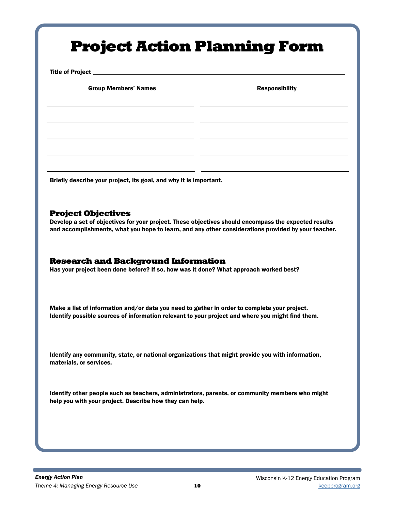# Project Action Planning Form

Title of Project

Group Members' Names **Responsibility** 

Briefly describe your project, its goal, and why it is important.

### Project Objectives

Develop a set of objectives for your project. These objectives should encompass the expected results and accomplishments, what you hope to learn, and any other considerations provided by your teacher.

### Research and Background Information

Has your project been done before? If so, how was it done? What approach worked best?

Make a list of information and/or data you need to gather in order to complete your project. Identify possible sources of information relevant to your project and where you might find them.

Identify any community, state, or national organizations that might provide you with information, materials, or services.

Identify other people such as teachers, administrators, parents, or community members who might help you with your project. Describe how they can help.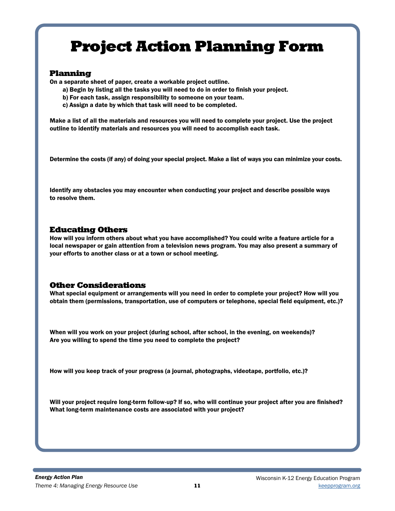# Project Action Planning Form

### Planning

On a separate sheet of paper, create a workable project outline.

- a) Begin by listing all the tasks you will need to do in order to finish your project.
- b) For each task, assign responsibility to someone on your team.
- c) Assign a date by which that task will need to be completed.

Make a list of all the materials and resources you will need to complete your project. Use the project outline to identify materials and resources you will need to accomplish each task.

Determine the costs (if any) of doing your special project. Make a list of ways you can minimize your costs.

Identify any obstacles you may encounter when conducting your project and describe possible ways to resolve them.

### Educating Others

How will you inform others about what you have accomplished? You could write a feature article for a local newspaper or gain attention from a television news program. You may also present a summary of your efforts to another class or at a town or school meeting.

### Other Considerations

What special equipment or arrangements will you need in order to complete your project? How will you obtain them (permissions, transportation, use of computers or telephone, special field equipment, etc.)?

When will you work on your project (during school, after school, in the evening, on weekends)? Are you willing to spend the time you need to complete the project?

How will you keep track of your progress (a journal, photographs, videotape, portfolio, etc.)?

Will your project require long-term follow-up? If so, who will continue your project after you are finished? What long-term maintenance costs are associated with your project?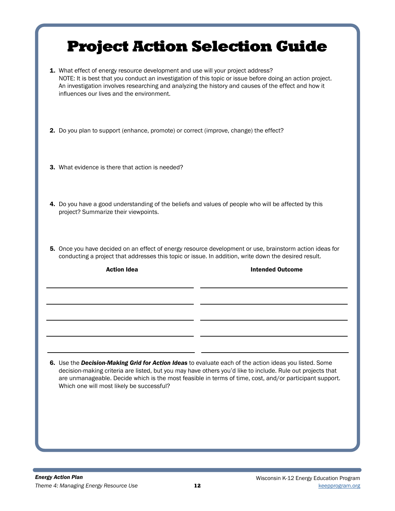|                                                                                                                                                                                                                                                                                                                                                   | <b>Project Action Selection Guide</b>                                                                                                                                                                                 |  |  |  |  |
|---------------------------------------------------------------------------------------------------------------------------------------------------------------------------------------------------------------------------------------------------------------------------------------------------------------------------------------------------|-----------------------------------------------------------------------------------------------------------------------------------------------------------------------------------------------------------------------|--|--|--|--|
| 1. What effect of energy resource development and use will your project address?<br>NOTE: It is best that you conduct an investigation of this topic or issue before doing an action project.<br>An investigation involves researching and analyzing the history and causes of the effect and how it<br>influences our lives and the environment. |                                                                                                                                                                                                                       |  |  |  |  |
| <b>2.</b> Do you plan to support (enhance, promote) or correct (improve, change) the effect?                                                                                                                                                                                                                                                      |                                                                                                                                                                                                                       |  |  |  |  |
| 3. What evidence is there that action is needed?                                                                                                                                                                                                                                                                                                  |                                                                                                                                                                                                                       |  |  |  |  |
| 4. Do you have a good understanding of the beliefs and values of people who will be affected by this<br>project? Summarize their viewpoints.                                                                                                                                                                                                      |                                                                                                                                                                                                                       |  |  |  |  |
| 5. Once you have decided on an effect of energy resource development or use, brainstorm action ideas for<br>conducting a project that addresses this topic or issue. In addition, write down the desired result.                                                                                                                                  |                                                                                                                                                                                                                       |  |  |  |  |
|                                                                                                                                                                                                                                                                                                                                                   |                                                                                                                                                                                                                       |  |  |  |  |
| <b>Action Idea</b>                                                                                                                                                                                                                                                                                                                                | <b>Intended Outcome</b>                                                                                                                                                                                               |  |  |  |  |
|                                                                                                                                                                                                                                                                                                                                                   |                                                                                                                                                                                                                       |  |  |  |  |
|                                                                                                                                                                                                                                                                                                                                                   |                                                                                                                                                                                                                       |  |  |  |  |
|                                                                                                                                                                                                                                                                                                                                                   |                                                                                                                                                                                                                       |  |  |  |  |
| 6. Use the Decision-Making Grid for Action Ideas to evaluate each of the action ideas you listed. Some<br>Which one will most likely be successful?                                                                                                                                                                                               | decision-making criteria are listed, but you may have others you'd like to include. Rule out projects that<br>are unmanageable. Decide which is the most feasible in terms of time, cost, and/or participant support. |  |  |  |  |
|                                                                                                                                                                                                                                                                                                                                                   |                                                                                                                                                                                                                       |  |  |  |  |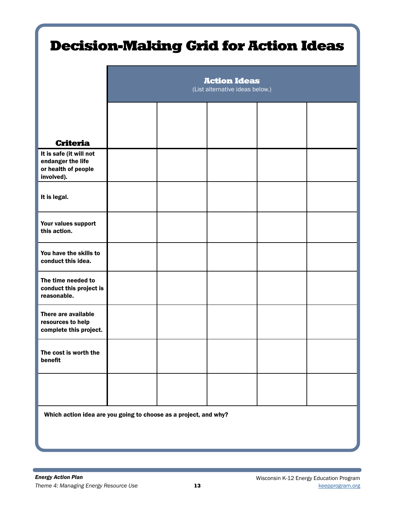| <b>Decision-Making Grid for Action Ideas</b>                                                         |                                                        |  |  |  |  |  |
|------------------------------------------------------------------------------------------------------|--------------------------------------------------------|--|--|--|--|--|
|                                                                                                      | <b>Action Ideas</b><br>(List alternative ideas below.) |  |  |  |  |  |
|                                                                                                      |                                                        |  |  |  |  |  |
| <b>Criteria</b><br>It is safe (it will not<br>endanger the life<br>or health of people<br>involved). |                                                        |  |  |  |  |  |
| It is legal.                                                                                         |                                                        |  |  |  |  |  |
| Your values support<br>this action.                                                                  |                                                        |  |  |  |  |  |
| You have the skills to<br>conduct this idea.                                                         |                                                        |  |  |  |  |  |
| The time needed to<br>conduct this project is<br>reasonable.                                         |                                                        |  |  |  |  |  |
| There are available<br>resources to help<br>complete this project.                                   |                                                        |  |  |  |  |  |
| The cost is worth the<br>benefit                                                                     |                                                        |  |  |  |  |  |
|                                                                                                      |                                                        |  |  |  |  |  |
| Which action idea are you going to choose as a project, and why?                                     |                                                        |  |  |  |  |  |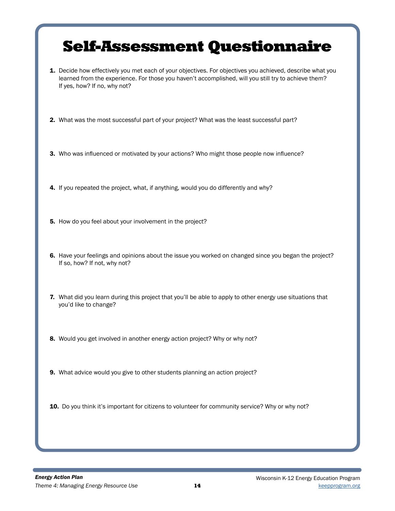## Self-Assessment Questionnaire

- 1. Decide how effectively you met each of your objectives. For objectives you achieved, describe what you learned from the experience. For those you haven't accomplished, will you still try to achieve them? If yes, how? If no, why not?
- 2. What was the most successful part of your project? What was the least successful part?
- 3. Who was influenced or motivated by your actions? Who might those people now influence?
- 4. If you repeated the project, what, if anything, would you do differently and why?
- 5. How do you feel about your involvement in the project?
- 6. Have your feelings and opinions about the issue you worked on changed since you began the project? If so, how? If not, why not?
- 7. What did you learn during this project that you'll be able to apply to other energy use situations that you'd like to change?
- 8. Would you get involved in another energy action project? Why or why not?
- 9. What advice would you give to other students planning an action project?
- 10. Do you think it's important for citizens to volunteer for community service? Why or why not?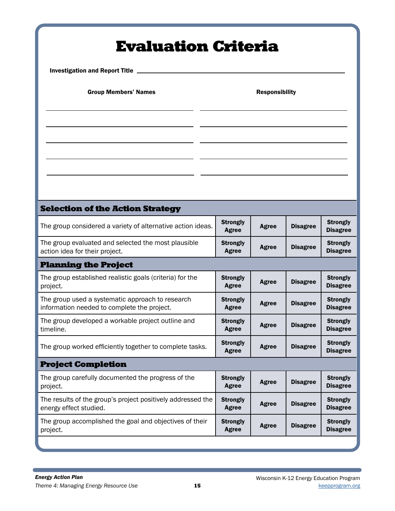### Evaluation Criteria Investigation and Report Title Selection of the Action Strategy The group considered a variety of alternative action ideas. **Strongly Agree** trongly | Agree | Disagree | Strongly<br>Agree | Agree | Disagree | Disagree **Disagree** The group evaluated and selected the most plausible action idea for their project. **Strongly** trongly | Agree | Disagree | Strongly<br>Agree | Agree | Disagree | Disagree **Disagree** Planning the Project The group established realistic goals (criteria) for the project. **Strongly** trongly | Agree | Disagree | Strongly<br>Agree | Agree | Disagree | Disagree **Disagree** The group used a systematic approach to research information needed to complete the project. **Strongly** trongly | Agree | Disagree | Strongly<br>Agree | Agree | Disagree | Disagree **Disagree** The group developed a workable project outline and timeline. **Strongly** trongly | Agree | Disagree | Strongly<br>Agree | Agree | Disagree | Disagree **Disagree** The group worked efficiently together to complete tasks. **Strongly** trongly | Agree | Disagree | Strongly<br>Agree | Agree | Disagree | Disagree **Disagree** Project Completion The group carefully documented the progress of the project. **Strongly** trongly | Agree | Disagree | Strongly<br>Agree | Agree | Disagree | Disagree The results of the group's project positively addressed the energy effect studied. **Strongly** trongly | Agree | Disagree | Strongly<br>Agree | Agree | Disagree | Disagree **Disagree** The group accomplished the goal and objectives of their project. **Strongly** trongly | Agree | Disagree | Strongly<br>Agree | Agree | Disagree | Disagree **Disagree** Group Members' Names **Responsibility**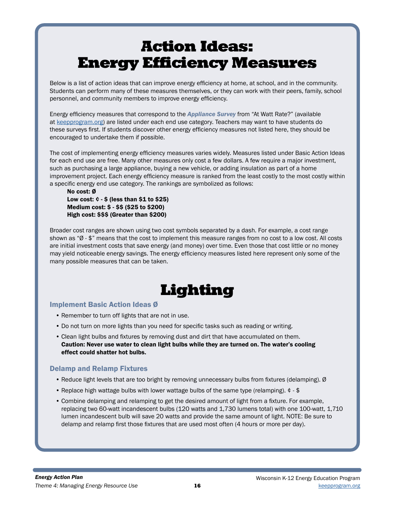Below is a list of action ideas that can improve energy efficiency at home, at school, and in the community. Students can perform many of these measures themselves, or they can work with their peers, family, school personnel, and community members to improve energy efficiency.

Energy efficiency measures that correspond to the *Appliance Survey* from "At Watt Rate?" (available at keepprogram.org) are listed under each end use category. Teachers may want to have students do these surveys first. If students discover other energy efficiency measures not listed here, they should be encouraged to undertake them if possible.

The cost of implementing energy efficiency measures varies widely. Measures listed under Basic Action Ideas for each end use are free. Many other measures only cost a few dollars. A few require a major investment, such as purchasing a large appliance, buying a new vehicle, or adding insulation as part of a home improvement project. Each energy efficiency measure is ranked from the least costly to the most costly within a specific energy end use category. The rankings are symbolized as follows:

No cost: Ø Low cost:  $\phi$  -  $\phi$  (less than \$1 to \$25) Medium cost: \$ - \$\$ (\$25 to \$200) High cost: \$\$\$ (Greater than \$200)

Broader cost ranges are shown using two cost symbols separated by a dash. For example, a cost range shown as "Ø - \$" means that the cost to implement this measure ranges from no cost to a low cost. All costs are initial investment costs that save energy (and money) over time. Even those that cost little or no money may yield noticeable energy savings. The energy efficiency measures listed here represent only some of the many possible measures that can be taken.

## Lighting

### Implement Basic Action Ideas Ø

- Remember to turn off lights that are not in use.
- Do not turn on more lights than you need for specific tasks such as reading or writing.
- Clean light bulbs and fixtures by removing dust and dirt that have accumulated on them. Caution: Never use water to clean light bulbs while they are turned on. The water's cooling effect could shatter hot bulbs.

### Delamp and Relamp Fixtures

- Reduce light levels that are too bright by removing unnecessary bulbs from fixtures (delamping). Ø
- Replace high wattage bulbs with lower wattage bulbs of the same type (relamping). ¢ \$
- Combine delamping and relamping to get the desired amount of light from a fixture. For example, replacing two 60-watt incandescent bulbs (120 watts and 1,730 lumens total) with one 100-watt, 1,710 lumen incandescent bulb will save 20 watts and provide the same amount of light. NOTE: Be sure to delamp and relamp first those fixtures that are used most often (4 hours or more per day).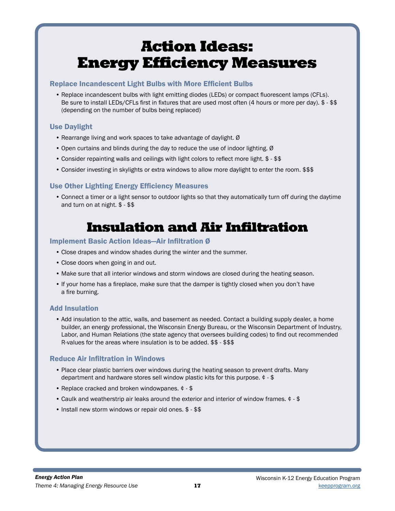### Replace Incandescent Light Bulbs with More Efficient Bulbs

• Replace incandescent bulbs with light emitting diodes (LEDs) or compact fluorescent lamps (CFLs). Be sure to install LEDs/CFLs first in fixtures that are used most often (4 hours or more per day). \$ - \$\$ (depending on the number of bulbs being replaced)

### Use Daylight

- Rearrange living and work spaces to take advantage of daylight. Ø
- Open curtains and blinds during the day to reduce the use of indoor lighting. Ø
- Consider repainting walls and ceilings with light colors to reflect more light. \$ \$\$
- Consider investing in skylights or extra windows to allow more daylight to enter the room. \$\$\$

### Use Other Lighting Energy Efficiency Measures

• Connect a timer or a light sensor to outdoor lights so that they automatically turn off during the daytime and turn on at night. \$ - \$\$

### Insulation and Air Infiltration

### Implement Basic Action Ideas—Air Infiltration Ø

- Close drapes and window shades during the winter and the summer.
- Close doors when going in and out.
- Make sure that all interior windows and storm windows are closed during the heating season.
- If your home has a fireplace, make sure that the damper is tightly closed when you don't have a fire burning.

### Add Insulation

• Add insulation to the attic, walls, and basement as needed. Contact a building supply dealer, a home builder, an energy professional, the Wisconsin Energy Bureau, or the Wisconsin Department of Industry, Labor, and Human Relations (the state agency that oversees building codes) to find out recommended R-values for the areas where insulation is to be added. \$\$ - \$\$\$

### Reduce Air Infiltration in Windows

- Place clear plastic barriers over windows during the heating season to prevent drafts. Many department and hardware stores sell window plastic kits for this purpose. ¢ - \$
- Replace cracked and broken windowpanes. ¢ \$
- Caulk and weatherstrip air leaks around the exterior and interior of window frames. ¢ \$
- Install new storm windows or repair old ones. \$ \$\$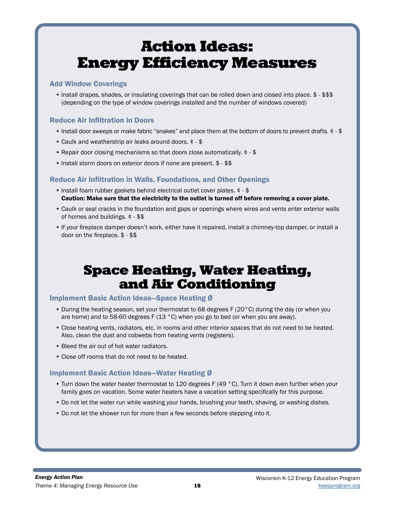### Add Window Coverings

• Install drapes, shades, or insulating coverings that can be rolled down and closed into place. \$ - \$\$\$ (depending on the type of window coverings installed and the number of windows covered)

### Reduce Air Infiltration in Doors

- Install door sweeps or make fabric "snakes" and place them at the bottom of doors to prevent drafts. ¢ \$
- Caulk and weatherstrip air leaks around doors. ¢ \$
- Repair door closing mechanisms so that doors close automatically. ¢ \$
- Install storm doors on exterior doors if none are present. \$ \$\$

### Reduce Air Infiltration in Walls, Foundations, and Other Openings

- Install foam rubber gaskets behind electrical outlet cover plates. ¢ \$ Caution: Make sure that the electricity to the outlet is turned off before removing a cover plate.
- Caulk or seal cracks in the foundation and gaps or openings where wires and vents enter exterior walls of homes and buildings. ¢ - \$\$
- If your fireplace damper doesn't work, either have it repaired, install a chimney-top damper, or install a door on the fireplace. \$ - \$\$

### Space Heating, Water Heating, and Air Conditioning

### Implement Basic Action Ideas—Space Heating Ø

- During the heating season, set your thermostat to 68 degrees F (20°C) during the day (or when you are home) and to 58-60 degrees F (13 °C) when you go to bed (or when you are away).
- Close heating vents, radiators, etc. in rooms and other interior spaces that do not need to be heated. Also, clean the dust and cobwebs from heating vents (registers).
- Bleed the air out of hot water radiators.
- Close off rooms that do not need to be heated.

### Implement Basic Action Ideas—Water Heating Ø

- Turn down the water heater thermostat to 120 degrees F (49 °C). Turn it down even further when your family goes on vacation. Some water heaters have a vacation setting specifically for this purpose.
- Do not let the water run while washing your hands, brushing your teeth, shaving, or washing dishes.
- Do not let the shower run for more than a few seconds before stepping into it.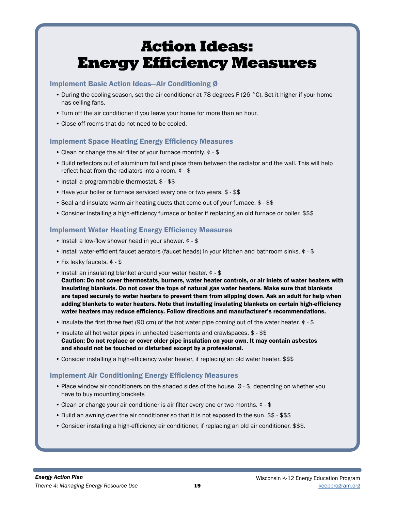### Implement Basic Action Ideas—Air Conditioning Ø

- During the cooling season, set the air conditioner at 78 degrees F (26 °C). Set it higher if your home has ceiling fans.
- Turn off the air conditioner if you leave your home for more than an hour.
- Close off rooms that do not need to be cooled.

### Implement Space Heating Energy Efficiency Measures

- Clean or change the air filter of your furnace monthly. ¢ \$
- Build reflectors out of aluminum foil and place them between the radiator and the wall. This will help reflect heat from the radiators into a room. ¢ - \$
- Install a programmable thermostat. \$ \$\$
- Have your boiler or furnace serviced every one or two years. \$ \$\$
- Seal and insulate warm-air heating ducts that come out of your furnace. \$ \$\$
- Consider installing a high-efficiency furnace or boiler if replacing an old furnace or boiler. \$\$\$

### Implement Water Heating Energy Efficiency Measures

- Install a low-flow shower head in your shower. ¢ \$
- Install water-efficient faucet aerators (faucet heads) in your kitchen and bathroom sinks. ¢ \$
- Fix leaky faucets. ¢ \$
- Install an insulating blanket around your water heater. ¢ \$ Caution: Do not cover thermostats, burners, water heater controls, or air inlets of water heaters with insulating blankets. Do not cover the tops of natural gas water heaters. Make sure that blankets are taped securely to water heaters to prevent them from slipping down. Ask an adult for help when adding blankets to water heaters. Note that installing insulating blankets on certain high-efficiency water heaters may reduce efficiency. Follow directions and manufacturer's recommendations.
- Insulate the first three feet (90 cm) of the hot water pipe coming out of the water heater.  $\phi$  \$
- Insulate all hot water pipes in unheated basements and crawlspaces. \$ \$\$ Caution: Do not replace or cover older pipe insulation on your own. It may contain asbestos and should not be touched or disturbed except by a professional.
- Consider installing a high-efficiency water heater, if replacing an old water heater. \$\$\$

### Implement Air Conditioning Energy Efficiency Measures

- Place window air conditioners on the shaded sides of the house. Ø \$, depending on whether you have to buy mounting brackets
- Clean or change your air conditioner is air filter every one or two months. ¢ \$
- Build an awning over the air conditioner so that it is not exposed to the sun. \$\$ \$\$\$
- Consider installing a high-efficiency air conditioner, if replacing an old air conditioner. \$\$\$.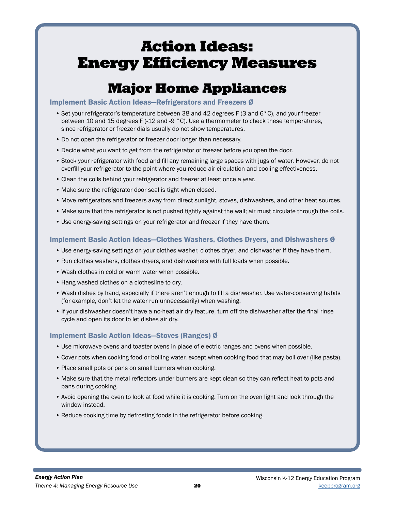## Major Home Appliances

### Implement Basic Action Ideas—Refrigerators and Freezers Ø

- Set your refrigerator's temperature between 38 and 42 degrees F (3 and 6°C), and your freezer between 10 and 15 degrees F (-12 and -9 °C). Use a thermometer to check these temperatures, since refrigerator or freezer dials usually do not show temperatures.
- Do not open the refrigerator or freezer door longer than necessary.
- Decide what you want to get from the refrigerator or freezer before you open the door.
- Stock your refrigerator with food and fill any remaining large spaces with jugs of water. However, do not overfill your refrigerator to the point where you reduce air circulation and cooling effectiveness.
- Clean the coils behind your refrigerator and freezer at least once a year.
- Make sure the refrigerator door seal is tight when closed.
- Move refrigerators and freezers away from direct sunlight, stoves, dishwashers, and other heat sources.
- Make sure that the refrigerator is not pushed tightly against the wall; air must circulate through the coils.
- Use energy-saving settings on your refrigerator and freezer if they have them.

### Implement Basic Action Ideas—Clothes Washers, Clothes Dryers, and Dishwashers Ø

- Use energy-saving settings on your clothes washer, clothes dryer, and dishwasher if they have them.
- Run clothes washers, clothes dryers, and dishwashers with full loads when possible.
- Wash clothes in cold or warm water when possible.
- Hang washed clothes on a clothesline to dry.
- Wash dishes by hand, especially if there aren't enough to fill a dishwasher. Use water-conserving habits (for example, don't let the water run unnecessarily) when washing.
- If your dishwasher doesn't have a no-heat air dry feature, turn off the dishwasher after the final rinse cycle and open its door to let dishes air dry.

### Implement Basic Action Ideas—Stoves (Ranges) Ø

- Use microwave ovens and toaster ovens in place of electric ranges and ovens when possible.
- Cover pots when cooking food or boiling water, except when cooking food that may boil over (like pasta).
- Place small pots or pans on small burners when cooking.
- Make sure that the metal reflectors under burners are kept clean so they can reflect heat to pots and pans during cooking.
- Avoid opening the oven to look at food while it is cooking. Turn on the oven light and look through the window instead.
- Reduce cooking time by defrosting foods in the refrigerator before cooking.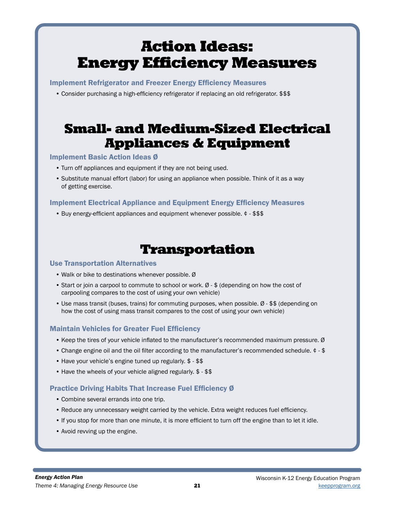Implement Refrigerator and Freezer Energy Efficiency Measures

• Consider purchasing a high-efficiency refrigerator if replacing an old refrigerator. \$\$\$

## Small- and Medium-Sized Electrical Appliances & Equipment

### Implement Basic Action Ideas Ø

- Turn off appliances and equipment if they are not being used.
- Substitute manual effort (labor) for using an appliance when possible. Think of it as a way of getting exercise.

### Implement Electrical Appliance and Equipment Energy Efficiency Measures

• Buy energy-efficient appliances and equipment whenever possible. ¢ - \$\$\$

### Transportation

### Use Transportation Alternatives

- Walk or bike to destinations whenever possible. Ø
- Start or join a carpool to commute to school or work. Ø \$ (depending on how the cost of carpooling compares to the cost of using your own vehicle)
- Use mass transit (buses, trains) for commuting purposes, when possible. Ø \$\$ (depending on how the cost of using mass transit compares to the cost of using your own vehicle)

### Maintain Vehicles for Greater Fuel Efficiency

- Keep the tires of your vehicle inflated to the manufacturer's recommended maximum pressure. Ø
- Change engine oil and the oil filter according to the manufacturer's recommended schedule. ¢ \$
- Have your vehicle's engine tuned up regularly. \$ \$\$
- Have the wheels of your vehicle aligned regularly. \$ \$\$

### Practice Driving Habits That Increase Fuel Efficiency Ø

- Combine several errands into one trip.
- Reduce any unnecessary weight carried by the vehicle. Extra weight reduces fuel efficiency.
- If you stop for more than one minute, it is more efficient to turn off the engine than to let it idle.
- Avoid revving up the engine.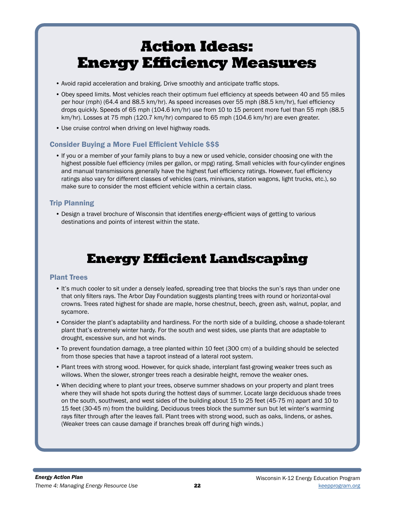- Avoid rapid acceleration and braking. Drive smoothly and anticipate traffic stops.
- Obey speed limits. Most vehicles reach their optimum fuel efficiency at speeds between 40 and 55 miles per hour (mph) (64.4 and 88.5 km/hr). As speed increases over 55 mph (88.5 km/hr), fuel efficiency drops quickly. Speeds of 65 mph (104.6 km/hr) use from 10 to 15 percent more fuel than 55 mph (88.5 km/hr). Losses at 75 mph (120.7 km/hr) compared to 65 mph (104.6 km/hr) are even greater.
- Use cruise control when driving on level highway roads.

### Consider Buying a More Fuel Efficient Vehicle \$\$\$

• If you or a member of your family plans to buy a new or used vehicle, consider choosing one with the highest possible fuel efficiency (miles per gallon, or mpg) rating. Small vehicles with four-cylinder engines and manual transmissions generally have the highest fuel efficiency ratings. However, fuel efficiency ratings also vary for different classes of vehicles (cars, minivans, station wagons, light trucks, etc.), so make sure to consider the most efficient vehicle within a certain class.

### Trip Planning

• Design a travel brochure of Wisconsin that identifies energy-efficient ways of getting to various destinations and points of interest within the state.

## Energy Efficient Landscaping

### Plant Trees

- It's much cooler to sit under a densely leafed, spreading tree that blocks the sun's rays than under one that only filters rays. The Arbor Day Foundation suggests planting trees with round or horizontal-oval crowns. Trees rated highest for shade are maple, horse chestnut, beech, green ash, walnut, poplar, and sycamore.
- Consider the plant's adaptability and hardiness. For the north side of a building, choose a shade-tolerant plant that's extremely winter hardy. For the south and west sides, use plants that are adaptable to drought, excessive sun, and hot winds.
- To prevent foundation damage, a tree planted within 10 feet (300 cm) of a building should be selected from those species that have a taproot instead of a lateral root system.
- Plant trees with strong wood. However, for quick shade, interplant fast-growing weaker trees such as willows. When the slower, stronger trees reach a desirable height, remove the weaker ones.
- When deciding where to plant your trees, observe summer shadows on your property and plant trees where they will shade hot spots during the hottest days of summer. Locate large deciduous shade trees on the south, southwest, and west sides of the building about 15 to 25 feet (45-75 m) apart and 10 to 15 feet (30-45 m) from the building. Deciduous trees block the summer sun but let winter's warming rays filter through after the leaves fall. Plant trees with strong wood, such as oaks, lindens, or ashes. (Weaker trees can cause damage if branches break off during high winds.)